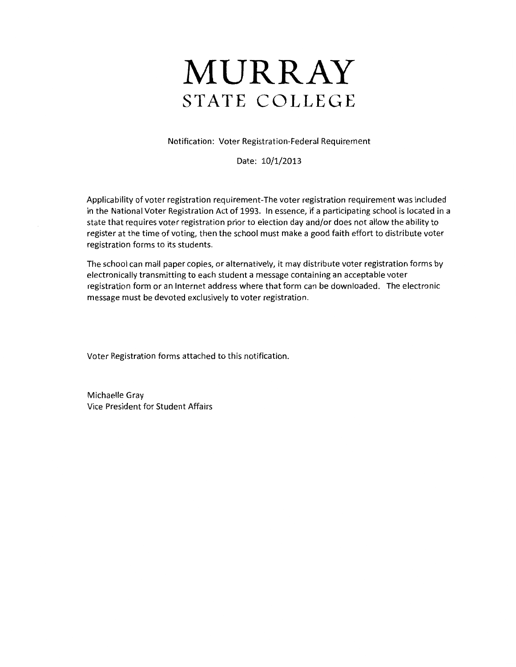# **MURRAY STATE COLLEGE**

Notification: Voter Registration-Federal Requirement

Date: 10/1/2013

Applicability of voter registration requirement-The voter registration requirement was included in the National Voter Registration Act of 1993. In essence, if a participating school is located in a state that requires voter registration prior to election day and/or does not allow the ability to register at the time of voting, then the school must make a good faith effort to distribute voter registration forms to its students.

The school can mail paper copies, or alternatively, it may distribute voter registration forms by electronically transmitting to each student a message containing an acceptable voter registration form or an Internet address where that form can be downloaded. The electronic message must be devoted exclusively to voter registration.

Voter Registration forms attached to this notification.

Michaelle Gray Vice President for Student Affairs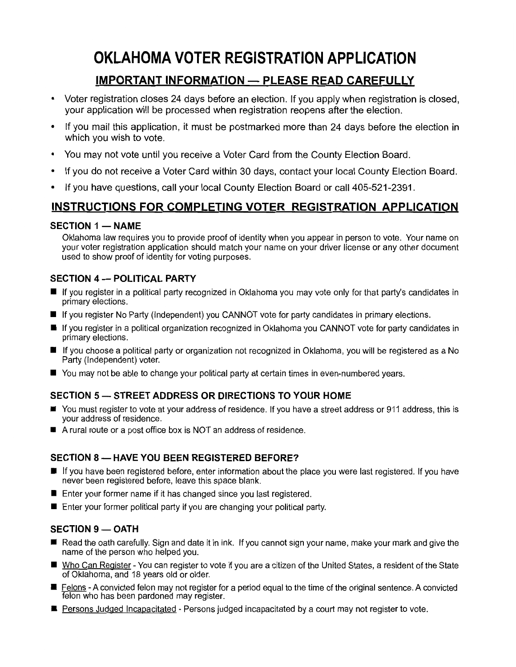# **OKLAHOMA VOTER REGISTRATION APPLICATION**

## **IMPORTANT INFORMATION — PLEASE READ CAREFULLY**

- Voter registration closes 24 days before an election. If you apply when registration is closed, your application will be processed when registration reopens after the election.
- If you mail this application, it must be postmarked more than 24 days before the election in which you wish to vote.
- You may not vote until you receive a Voter Card from the County Election Board.
- If you do not receive a Voter Card within 30 days, contact your local County Election Board.
- If you have questions, call your local County Election Board or call 405-521-2391.

### **INSTRUCTIONS FOR COMPLETING VOTER REGISTRATION APPLICATION**

#### **SECTION 1 - NAME**

Oklahoma law requires you to provide proof of identity when you appear in person to vote. Your name on your voter registration application should match your name on your driver license or any other document used to show proof of identity for voting purposes.

#### **SECTION 4 - POLITICAL PARTY**

- If you register in a political party recognized in Oklahoma you may vote only for that party's candidates in primary elections.
- **If you register No Party (Independent) you CANNOT vote for party candidates in primary elections.**
- **If you register in a political organization recognized in Oklahoma you CANNOT vote for party candidates in** primary elections.
- If you choose a political party or organization not recognized in Oklahoma, you will be registered as a No Party (Independent) voter.
- You may not be able to change your political party at certain times in even-numbered years.

#### **SECTION 5- STREET ADDRESS OR DIRECTIONS TO YOUR HOME**

- You must register to vote at your address of residence. If you have a street address or 911 address, this is your address of residence.
- A rural route or a post office box is NOT an address of residence.

#### **SECTION 8 - HAVE YOU BEEN REGISTERED BEFORE?**

- If you have been registered before, enter information about the place you were last registered. If you have never been registered before, leave this space blank.
- $\blacksquare$  Enter your former name if it has changed since you last registered.
- $\blacksquare$  Enter your former political party if you are changing your political party.

#### **SECTION 9-OATH**

- Read the oath carefully. Sign and date it in ink. If you cannot sign your name, make your mark and give the name of the person who helped you.
- Who Can Register You can register to vote if you are a citizen of the United States, a resident of the State of Oklahoma, and 18 years old or older.
- **E** Felons A convicted felon may not register for a period equal to the time of the original sentence. A convicted felon who has been pardoned may register.
- **Persons Judged Incapacitated Persons judged incapacitated by a court may not register to vote.**